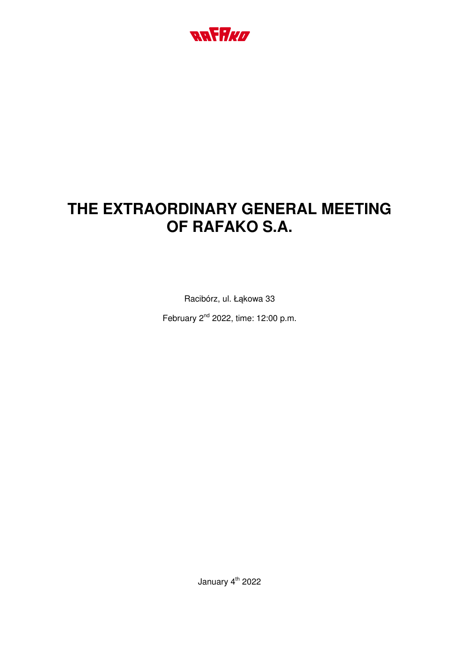

# **THE EXTRAORDINARY GENERAL MEETING OF RAFAKO S.A.**

Racibórz, ul. Łąkowa 33

February 2nd 2022, time: 12:00 p.m.

January 4<sup>th</sup> 2022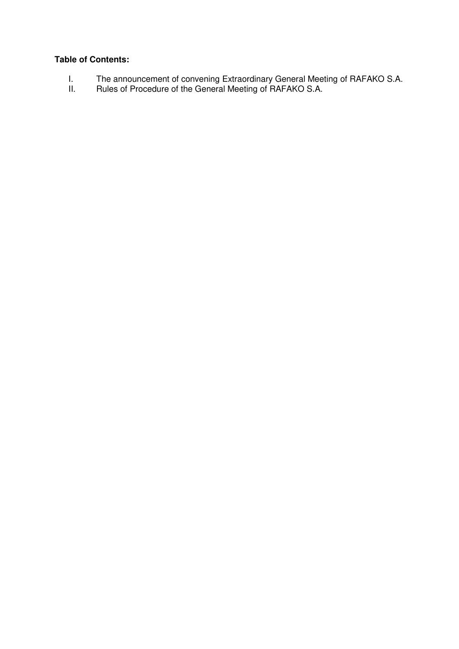## **Table of Contents:**

- I. The announcement of convening Extraordinary General Meeting of RAFAKO S.A.
- II. Rules of Procedure of the General Meeting of RAFAKO S.A.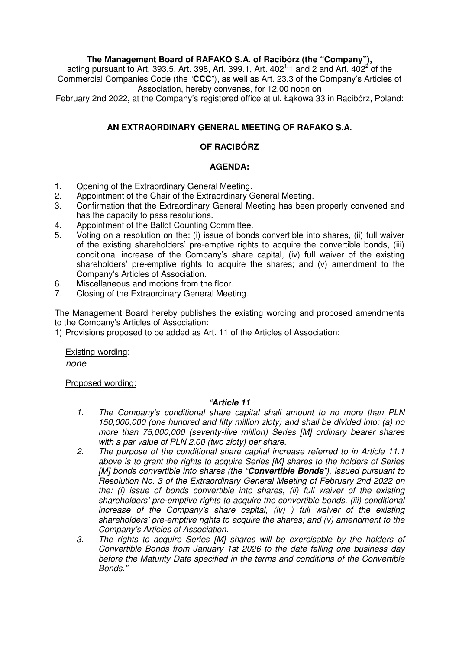# **The Management Board of RAFAKO S.A. of Racibórz (the "Company"),**

acting pursuant to Art. 393.5, Art. 398, Art. 399.1, Art. 402<sup>1</sup> 1 and 2 and Art. 402<sup>2</sup> of the Commercial Companies Code (the "**CCC**"), as well as Art. 23.3 of the Company's Articles of Association, hereby convenes, for 12.00 noon on

February 2nd 2022, at the Company's registered office at ul. Łąkowa 33 in Racibórz, Poland:

## **AN EXTRAORDINARY GENERAL MEETING OF RAFAKO S.A.**

#### **OF RACIBÓRZ**

#### **AGENDA:**

- 1. Opening of the Extraordinary General Meeting.
- 2. Appointment of the Chair of the Extraordinary General Meeting.
- 3. Confirmation that the Extraordinary General Meeting has been properly convened and has the capacity to pass resolutions.
- 4. Appointment of the Ballot Counting Committee.
- 5. Voting on a resolution on the: (i) issue of bonds convertible into shares, (ii) full waiver of the existing shareholders' pre-emptive rights to acquire the convertible bonds, (iii) conditional increase of the Company's share capital, (iv) full waiver of the existing shareholders' pre-emptive rights to acquire the shares; and (v) amendment to the Company's Articles of Association.
- 6. Miscellaneous and motions from the floor.
- 7. Closing of the Extraordinary General Meeting.

The Management Board hereby publishes the existing wording and proposed amendments to the Company's Articles of Association:

1) Provisions proposed to be added as Art. 11 of the Articles of Association:

Existing wording:

*none* 

Proposed wording:

#### *"***Article 11**

- *1. The Company's conditional share capital shall amount to no more than PLN 150,000,000 (one hundred and fifty million złoty) and shall be divided into: (a) no more than 75,000,000 (seventy-five million) Series [M] ordinary bearer shares with a par value of PLN 2.00 (two złoty) per share*.
- *2. The purpose of the conditional share capital increase referred to in Article 11.1 above is to grant the rights to acquire Series [M] shares to the holders of Series [M] bonds convertible into shares (the "***Convertible Bonds***"), issued pursuant to Resolution No. 3 of the Extraordinary General Meeting of February 2nd 2022 on the: (i) issue of bonds convertible into shares, (ii) full waiver of the existing shareholders' pre-emptive rights to acquire the convertible bonds, (iii) conditional increase of the Company's share capital, (iv) ) full waiver of the existing shareholders' pre-emptive rights to acquire the shares; and (v) amendment to the Company's Articles of Association.*
- *3. The rights to acquire Series [M] shares will be exercisable by the holders of Convertible Bonds from January 1st 2026 to the date falling one business day before the Maturity Date specified in the terms and conditions of the Convertible Bonds."*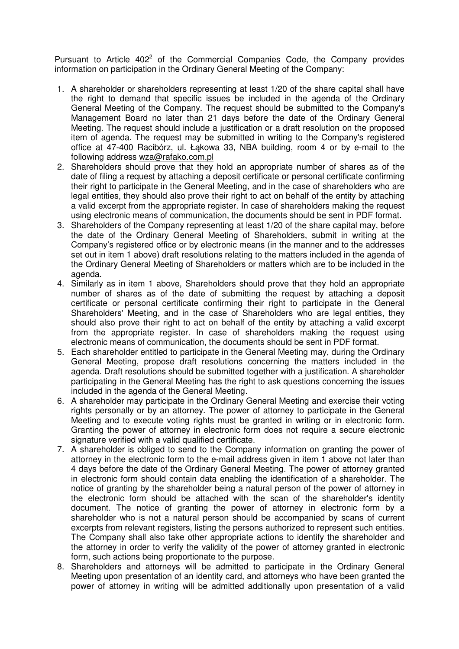Pursuant to Article  $402<sup>2</sup>$  of the Commercial Companies Code, the Company provides information on participation in the Ordinary General Meeting of the Company:

- 1. A shareholder or shareholders representing at least 1/20 of the share capital shall have the right to demand that specific issues be included in the agenda of the Ordinary General Meeting of the Company. The request should be submitted to the Company's Management Board no later than 21 days before the date of the Ordinary General Meeting. The request should include a justification or a draft resolution on the proposed item of agenda. The request may be submitted in writing to the Company's registered office at 47-400 Racibórz, ul. Łąkowa 33, NBA building, room 4 or by e-mail to the following address wza@rafako.com.pl
- 2. Shareholders should prove that they hold an appropriate number of shares as of the date of filing a request by attaching a deposit certificate or personal certificate confirming their right to participate in the General Meeting, and in the case of shareholders who are legal entities, they should also prove their right to act on behalf of the entity by attaching a valid excerpt from the appropriate register. In case of shareholders making the request using electronic means of communication, the documents should be sent in PDF format.
- 3. Shareholders of the Company representing at least 1/20 of the share capital may, before the date of the Ordinary General Meeting of Shareholders, submit in writing at the Company's registered office or by electronic means (in the manner and to the addresses set out in item 1 above) draft resolutions relating to the matters included in the agenda of the Ordinary General Meeting of Shareholders or matters which are to be included in the agenda.
- 4. Similarly as in item 1 above, Shareholders should prove that they hold an appropriate number of shares as of the date of submitting the request by attaching a deposit certificate or personal certificate confirming their right to participate in the General Shareholders' Meeting, and in the case of Shareholders who are legal entities, they should also prove their right to act on behalf of the entity by attaching a valid excerpt from the appropriate register. In case of shareholders making the request using electronic means of communication, the documents should be sent in PDF format.
- 5. Each shareholder entitled to participate in the General Meeting may, during the Ordinary General Meeting, propose draft resolutions concerning the matters included in the agenda. Draft resolutions should be submitted together with a justification. A shareholder participating in the General Meeting has the right to ask questions concerning the issues included in the agenda of the General Meeting.
- 6. A shareholder may participate in the Ordinary General Meeting and exercise their voting rights personally or by an attorney. The power of attorney to participate in the General Meeting and to execute voting rights must be granted in writing or in electronic form. Granting the power of attorney in electronic form does not require a secure electronic signature verified with a valid qualified certificate.
- 7. A shareholder is obliged to send to the Company information on granting the power of attorney in the electronic form to the e-mail address given in item 1 above not later than 4 days before the date of the Ordinary General Meeting. The power of attorney granted in electronic form should contain data enabling the identification of a shareholder. The notice of granting by the shareholder being a natural person of the power of attorney in the electronic form should be attached with the scan of the shareholder's identity document. The notice of granting the power of attorney in electronic form by a shareholder who is not a natural person should be accompanied by scans of current excerpts from relevant registers, listing the persons authorized to represent such entities. The Company shall also take other appropriate actions to identify the shareholder and the attorney in order to verify the validity of the power of attorney granted in electronic form, such actions being proportionate to the purpose.
- 8. Shareholders and attorneys will be admitted to participate in the Ordinary General Meeting upon presentation of an identity card, and attorneys who have been granted the power of attorney in writing will be admitted additionally upon presentation of a valid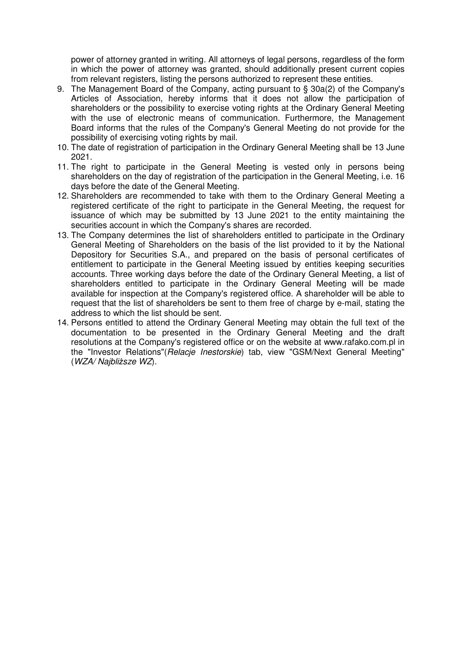power of attorney granted in writing. All attorneys of legal persons, regardless of the form in which the power of attorney was granted, should additionally present current copies from relevant registers, listing the persons authorized to represent these entities.

- 9. The Management Board of the Company, acting pursuant to § 30a(2) of the Company's Articles of Association, hereby informs that it does not allow the participation of shareholders or the possibility to exercise voting rights at the Ordinary General Meeting with the use of electronic means of communication. Furthermore, the Management Board informs that the rules of the Company's General Meeting do not provide for the possibility of exercising voting rights by mail.
- 10. The date of registration of participation in the Ordinary General Meeting shall be 13 June 2021.
- 11. The right to participate in the General Meeting is vested only in persons being shareholders on the day of registration of the participation in the General Meeting, i.e. 16 days before the date of the General Meeting.
- 12. Shareholders are recommended to take with them to the Ordinary General Meeting a registered certificate of the right to participate in the General Meeting, the request for issuance of which may be submitted by 13 June 2021 to the entity maintaining the securities account in which the Company's shares are recorded.
- 13. The Company determines the list of shareholders entitled to participate in the Ordinary General Meeting of Shareholders on the basis of the list provided to it by the National Depository for Securities S.A., and prepared on the basis of personal certificates of entitlement to participate in the General Meeting issued by entities keeping securities accounts. Three working days before the date of the Ordinary General Meeting, a list of shareholders entitled to participate in the Ordinary General Meeting will be made available for inspection at the Company's registered office. A shareholder will be able to request that the list of shareholders be sent to them free of charge by e-mail, stating the address to which the list should be sent.
- 14. Persons entitled to attend the Ordinary General Meeting may obtain the full text of the documentation to be presented in the Ordinary General Meeting and the draft resolutions at the Company's registered office or on the website at www.rafako.com.pl in the "Investor Relations"(*Relacje Inestorskie*) tab, view "GSM/Next General Meeting" (*WZA/ Najbliższe WZ*).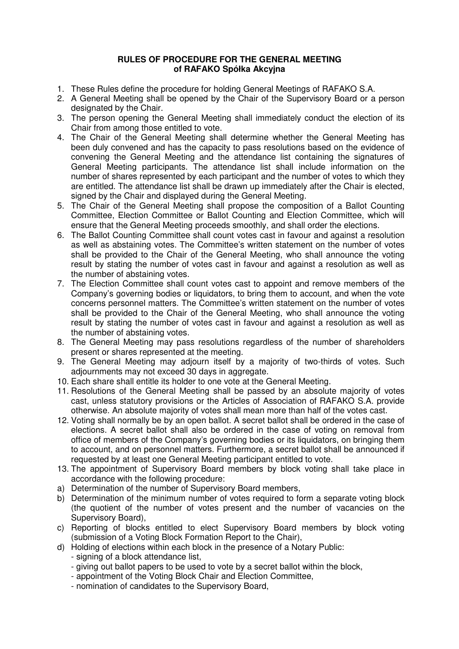#### **RULES OF PROCEDURE FOR THE GENERAL MEETING of RAFAKO Spółka Akcyjna**

- 1. These Rules define the procedure for holding General Meetings of RAFAKO S.A.
- 2. A General Meeting shall be opened by the Chair of the Supervisory Board or a person designated by the Chair.
- 3. The person opening the General Meeting shall immediately conduct the election of its Chair from among those entitled to vote.
- 4. The Chair of the General Meeting shall determine whether the General Meeting has been duly convened and has the capacity to pass resolutions based on the evidence of convening the General Meeting and the attendance list containing the signatures of General Meeting participants. The attendance list shall include information on the number of shares represented by each participant and the number of votes to which they are entitled. The attendance list shall be drawn up immediately after the Chair is elected, signed by the Chair and displayed during the General Meeting.
- 5. The Chair of the General Meeting shall propose the composition of a Ballot Counting Committee, Election Committee or Ballot Counting and Election Committee, which will ensure that the General Meeting proceeds smoothly, and shall order the elections.
- 6. The Ballot Counting Committee shall count votes cast in favour and against a resolution as well as abstaining votes. The Committee's written statement on the number of votes shall be provided to the Chair of the General Meeting, who shall announce the voting result by stating the number of votes cast in favour and against a resolution as well as the number of abstaining votes.
- 7. The Election Committee shall count votes cast to appoint and remove members of the Company's governing bodies or liquidators, to bring them to account, and when the vote concerns personnel matters. The Committee's written statement on the number of votes shall be provided to the Chair of the General Meeting, who shall announce the voting result by stating the number of votes cast in favour and against a resolution as well as the number of abstaining votes.
- 8. The General Meeting may pass resolutions regardless of the number of shareholders present or shares represented at the meeting.
- 9. The General Meeting may adjourn itself by a majority of two-thirds of votes. Such adjournments may not exceed 30 days in aggregate.
- 10. Each share shall entitle its holder to one vote at the General Meeting.
- 11. Resolutions of the General Meeting shall be passed by an absolute majority of votes cast, unless statutory provisions or the Articles of Association of RAFAKO S.A. provide otherwise. An absolute majority of votes shall mean more than half of the votes cast.
- 12. Voting shall normally be by an open ballot. A secret ballot shall be ordered in the case of elections. A secret ballot shall also be ordered in the case of voting on removal from office of members of the Company's governing bodies or its liquidators, on bringing them to account, and on personnel matters. Furthermore, a secret ballot shall be announced if requested by at least one General Meeting participant entitled to vote.
- 13. The appointment of Supervisory Board members by block voting shall take place in accordance with the following procedure:
- a) Determination of the number of Supervisory Board members,
- b) Determination of the minimum number of votes required to form a separate voting block (the quotient of the number of votes present and the number of vacancies on the Supervisory Board),
- c) Reporting of blocks entitled to elect Supervisory Board members by block voting (submission of a Voting Block Formation Report to the Chair),
- d) Holding of elections within each block in the presence of a Notary Public:
	- signing of a block attendance list,
	- giving out ballot papers to be used to vote by a secret ballot within the block,
	- appointment of the Voting Block Chair and Election Committee,
	- nomination of candidates to the Supervisory Board,